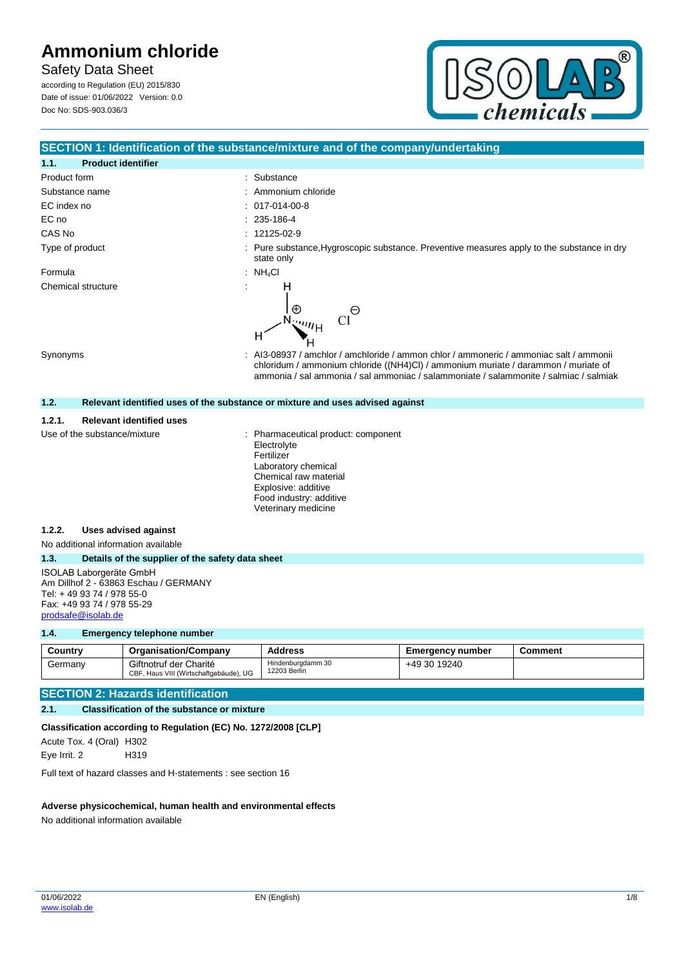## **Safety Data Sheet**

according to Regulation (EU) 2015/830 Date of issue: 01/06/2022 Version: 0.0 Doc No: SDS-903.036/3



### **SECTION 1: Identification of the substance/mixture and of the company/undertaking**

| <b>Product identifier</b><br>1.1.         |                                                                                                                                                                             |
|-------------------------------------------|-----------------------------------------------------------------------------------------------------------------------------------------------------------------------------|
| Product form                              | : Substance                                                                                                                                                                 |
| Substance name                            | : Ammonium chloride                                                                                                                                                         |
| EC index no                               | $: 017-014-00-8$                                                                                                                                                            |
| EC no                                     | $: 235 - 186 - 4$                                                                                                                                                           |
| CAS No                                    | $: 12125-02-9$                                                                                                                                                              |
| Type of product                           | Pure substance, Hygroscopic substance. Preventive measures apply to the substance in dry<br>state only                                                                      |
| Formula                                   | : $NH_4Cl$                                                                                                                                                                  |
| Chemical structure<br>Synonyms            | H<br>$\oplus$<br>Θ<br><sup>emij</sup> H<br>н<br>: Al3-08937 / amchlor / amchloride / ammon chlor / ammoneric / ammoniac salt / ammonii                                      |
|                                           | chloridum / ammonium chloride ((NH4)Cl) / ammonium muriate / darammon / muriate of<br>ammonia / sal ammonia / sal ammoniac / salammoniate / salammonite / salmiac / salmiak |
| 1.2.                                      | Relevant identified uses of the substance or mixture and uses advised against                                                                                               |
| <b>Relevant identified uses</b><br>1.2.1. |                                                                                                                                                                             |
| Use of the substance/mixture              | Pharmaceutical product: component<br>Electrolyte<br>Fertilizer<br>Laboratory chemical<br>Chemical raw material                                                              |

Explosive: additive Food industry: additive Veterinary medicine

#### **1.2.2. Uses advised against**

No additional information available

#### **1.3. Details of the supplier of the safety data sheet**

ISOLAB Laborgeräte GmbH Am Dillhof 2 - 63863 Eschau / GERMANY Tel: + 49 93 74 / 978 55-0 Fax: +49 93 74 / 978 55-29 [prodsafe@isolab.de](mailto:prodsafe@isolab.de)

#### **1.4. Emergency telephone number**

| Country | <b>Organisation/Company</b>                                      | <b>Address</b>                    | <b>Emergency number</b> | Comment |
|---------|------------------------------------------------------------------|-----------------------------------|-------------------------|---------|
| Germany | Giftnotruf der Charité<br>CBF, Haus VIII (Wirtschaftgebäude), UG | Hindenburgdamm 30<br>12203 Berlin | +49 30 19240            |         |

#### **SECTION 2: Hazards identification**

#### **2.1. Classification of the substance or mixture**

### **Classification according to Regulation (EC) No. 1272/2008 [CLP]**

Acute Tox. 4 (Oral) H302 Eye Irrit. 2 H319

Full text of hazard classes and H-statements : see section 16

#### **Adverse physicochemical, human health and environmental effects**

No additional information available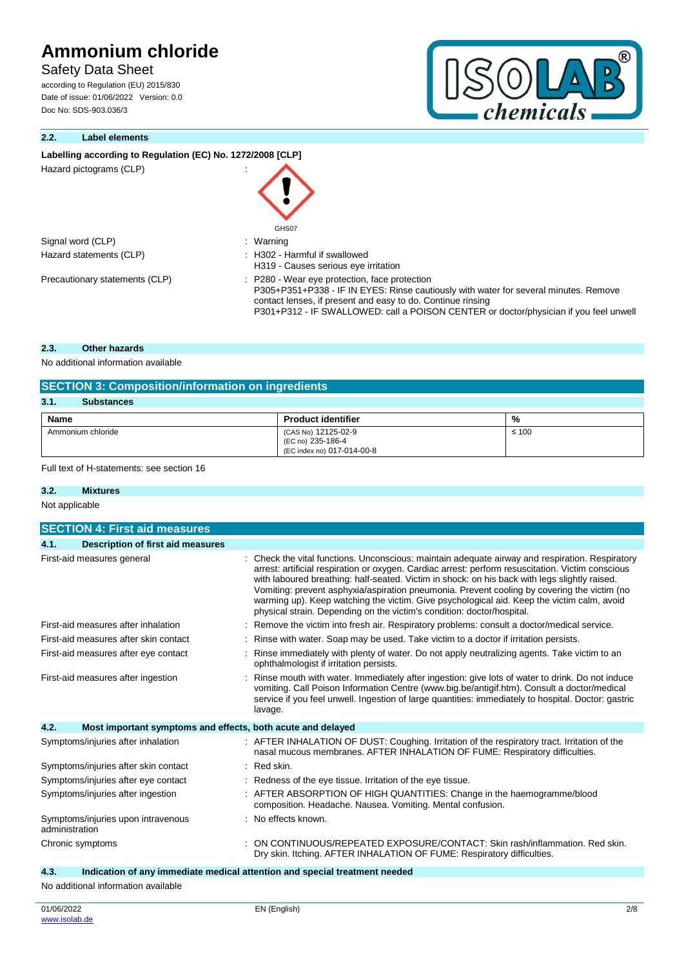## **Safety Data Sheet**

according to Regulation (EU) 2015/830 Date of issue: 01/06/2022 Version: 0.0 Doc No: SDS-903.036/3

### **2.2. Label elements**

#### Labelling according to Regulation (EC) No. 1272/2008 [CLP]

| Hazard pictograms (CLP)        | GHS07                                                                                                                                                                                                                                                                                         |
|--------------------------------|-----------------------------------------------------------------------------------------------------------------------------------------------------------------------------------------------------------------------------------------------------------------------------------------------|
| Signal word (CLP)              | : Warning                                                                                                                                                                                                                                                                                     |
| Hazard statements (CLP)        | : H302 - Harmful if swallowed<br>H319 - Causes serious eye irritation                                                                                                                                                                                                                         |
| Precautionary statements (CLP) | : P280 - Wear eye protection, face protection<br>P305+P351+P338 - IF IN EYES: Rinse cautiously with water for several minutes. Remove<br>contact lenses, if present and easy to do. Continue rinsing<br>P301+P312 - IF SWALLOWED: call a POISON CENTER or doctor/physician if you feel unwell |

#### **2.3. Other hazards**

No additional information available

| <b>SECTION 3: Composition/information on ingredients</b> |                                                                        |            |  |
|----------------------------------------------------------|------------------------------------------------------------------------|------------|--|
| 3.1.<br><b>Substances</b>                                |                                                                        |            |  |
| <b>Name</b>                                              | <b>Product identifier</b>                                              | %          |  |
| Ammonium chloride                                        | (CAS No) 12125-02-9<br>(EC no) 235-186-4<br>(EC index no) 017-014-00-8 | $\leq 100$ |  |

Full text of H-statements: see section 16

#### **3.2. Mixtures**

Not applicable

| <b>SECTION 4: First aid measures</b>                                |                                                                                                                                                                                                                                                                                                                                                                                                                                                                                                                                                                            |
|---------------------------------------------------------------------|----------------------------------------------------------------------------------------------------------------------------------------------------------------------------------------------------------------------------------------------------------------------------------------------------------------------------------------------------------------------------------------------------------------------------------------------------------------------------------------------------------------------------------------------------------------------------|
| <b>Description of first aid measures</b><br>4.1.                    |                                                                                                                                                                                                                                                                                                                                                                                                                                                                                                                                                                            |
| First-aid measures general                                          | Check the vital functions. Unconscious: maintain adequate airway and respiration. Respiratory<br>arrest: artificial respiration or oxygen. Cardiac arrest: perform resuscitation. Victim conscious<br>with laboured breathing: half-seated. Victim in shock: on his back with legs slightly raised.<br>Vomiting: prevent asphyxia/aspiration pneumonia. Prevent cooling by covering the victim (no<br>warming up). Keep watching the victim. Give psychological aid. Keep the victim calm, avoid<br>physical strain. Depending on the victim's condition: doctor/hospital. |
| First-aid measures after inhalation                                 | Remove the victim into fresh air. Respiratory problems: consult a doctor/medical service.                                                                                                                                                                                                                                                                                                                                                                                                                                                                                  |
| First-aid measures after skin contact                               | Rinse with water. Soap may be used. Take victim to a doctor if irritation persists.                                                                                                                                                                                                                                                                                                                                                                                                                                                                                        |
| First-aid measures after eye contact                                | Rinse immediately with plenty of water. Do not apply neutralizing agents. Take victim to an<br>ophthalmologist if irritation persists.                                                                                                                                                                                                                                                                                                                                                                                                                                     |
| First-aid measures after ingestion                                  | Rinse mouth with water. Immediately after ingestion: give lots of water to drink. Do not induce<br>vomiting. Call Poison Information Centre (www.big.be/antigif.htm). Consult a doctor/medical<br>service if you feel unwell. Ingestion of large quantities: immediately to hospital. Doctor: gastric<br>lavage.                                                                                                                                                                                                                                                           |
| 4.2.<br>Most important symptoms and effects, both acute and delayed |                                                                                                                                                                                                                                                                                                                                                                                                                                                                                                                                                                            |
| Symptoms/injuries after inhalation                                  | : AFTER INHALATION OF DUST: Coughing. Irritation of the respiratory tract. Irritation of the<br>nasal mucous membranes. AFTER INHALATION OF FUME: Respiratory difficulties.                                                                                                                                                                                                                                                                                                                                                                                                |
| Symptoms/injuries after skin contact                                | $:$ Red skin.                                                                                                                                                                                                                                                                                                                                                                                                                                                                                                                                                              |
| Symptoms/injuries after eye contact                                 | : Redness of the eye tissue. Irritation of the eye tissue.                                                                                                                                                                                                                                                                                                                                                                                                                                                                                                                 |
| Symptoms/injuries after ingestion                                   | AFTER ABSORPTION OF HIGH QUANTITIES: Change in the haemogramme/blood<br>composition. Headache. Nausea. Vomiting. Mental confusion.                                                                                                                                                                                                                                                                                                                                                                                                                                         |
| Symptoms/injuries upon intravenous<br>administration                | : No effects known.                                                                                                                                                                                                                                                                                                                                                                                                                                                                                                                                                        |
| Chronic symptoms                                                    | ON CONTINUOUS/REPEATED EXPOSURE/CONTACT: Skin rash/inflammation. Red skin.<br>Dry skin. Itching. AFTER INHALATION OF FUME: Respiratory difficulties.                                                                                                                                                                                                                                                                                                                                                                                                                       |
| 4.3.                                                                | Indication of any immediate medical attention and special treatment needed                                                                                                                                                                                                                                                                                                                                                                                                                                                                                                 |

No additional information available

 $^{\circledR}$ 

 $\overline{D}$ 

OLA

chemicals-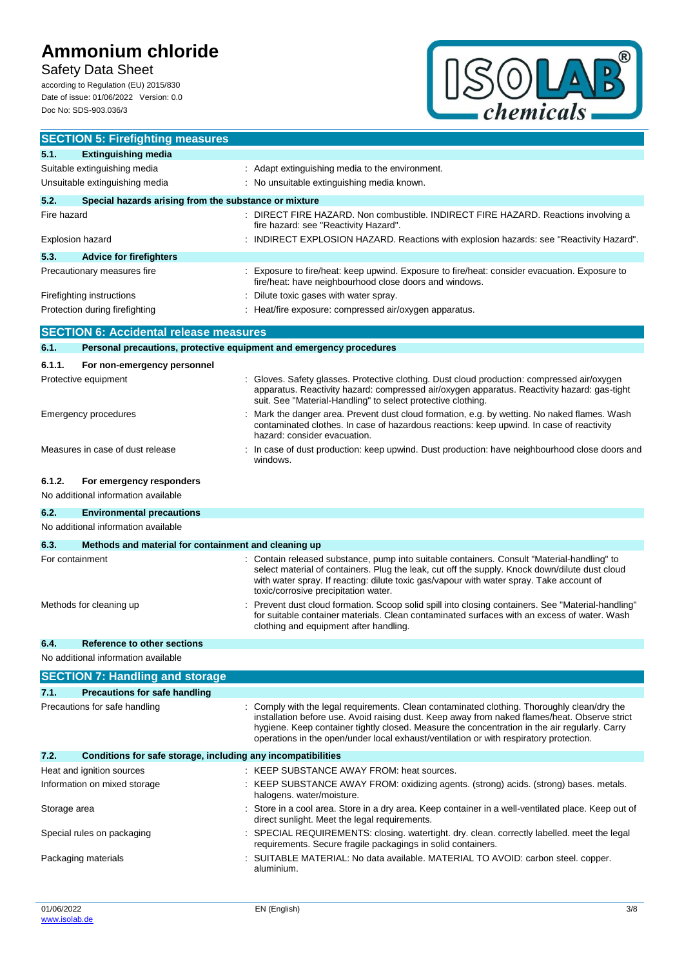## **Safety Data Sheet**

according to Regulation (EU) 2015/830 Date of issue: 01/06/2022 Version: 0.0 Doc No: SDS-903.036/3



|                                                               | <b>SECTION 5: Firefighting measures</b>                             |  |                                                                                                                                                                                                                                                                                                                                                                                       |
|---------------------------------------------------------------|---------------------------------------------------------------------|--|---------------------------------------------------------------------------------------------------------------------------------------------------------------------------------------------------------------------------------------------------------------------------------------------------------------------------------------------------------------------------------------|
| 5.1.                                                          | <b>Extinguishing media</b>                                          |  |                                                                                                                                                                                                                                                                                                                                                                                       |
|                                                               | Suitable extinguishing media                                        |  | : Adapt extinguishing media to the environment.                                                                                                                                                                                                                                                                                                                                       |
|                                                               | Unsuitable extinguishing media                                      |  | No unsuitable extinguishing media known.                                                                                                                                                                                                                                                                                                                                              |
| 5.2.<br>Special hazards arising from the substance or mixture |                                                                     |  |                                                                                                                                                                                                                                                                                                                                                                                       |
| Fire hazard                                                   |                                                                     |  | DIRECT FIRE HAZARD. Non combustible. INDIRECT FIRE HAZARD. Reactions involving a<br>fire hazard: see "Reactivity Hazard".                                                                                                                                                                                                                                                             |
| Explosion hazard                                              |                                                                     |  | : INDIRECT EXPLOSION HAZARD. Reactions with explosion hazards: see "Reactivity Hazard".                                                                                                                                                                                                                                                                                               |
| 5.3.                                                          | <b>Advice for firefighters</b>                                      |  |                                                                                                                                                                                                                                                                                                                                                                                       |
|                                                               | Precautionary measures fire                                         |  | Exposure to fire/heat: keep upwind. Exposure to fire/heat: consider evacuation. Exposure to<br>fire/heat: have neighbourhood close doors and windows.                                                                                                                                                                                                                                 |
| Firefighting instructions                                     |                                                                     |  | Dilute toxic gases with water spray.                                                                                                                                                                                                                                                                                                                                                  |
|                                                               | Protection during firefighting                                      |  | Heat/fire exposure: compressed air/oxygen apparatus.                                                                                                                                                                                                                                                                                                                                  |
|                                                               | <b>SECTION 6: Accidental release measures</b>                       |  |                                                                                                                                                                                                                                                                                                                                                                                       |
| 6.1.                                                          | Personal precautions, protective equipment and emergency procedures |  |                                                                                                                                                                                                                                                                                                                                                                                       |
| 6.1.1.                                                        | For non-emergency personnel                                         |  |                                                                                                                                                                                                                                                                                                                                                                                       |
| Protective equipment                                          |                                                                     |  | Gloves. Safety glasses. Protective clothing. Dust cloud production: compressed air/oxygen<br>apparatus. Reactivity hazard: compressed air/oxygen apparatus. Reactivity hazard: gas-tight<br>suit. See "Material-Handling" to select protective clothing.                                                                                                                              |
| <b>Emergency procedures</b>                                   |                                                                     |  | Mark the danger area. Prevent dust cloud formation, e.g. by wetting. No naked flames. Wash<br>contaminated clothes. In case of hazardous reactions: keep upwind. In case of reactivity<br>hazard: consider evacuation.                                                                                                                                                                |
|                                                               | Measures in case of dust release                                    |  | : In case of dust production: keep upwind. Dust production: have neighbourhood close doors and<br>windows.                                                                                                                                                                                                                                                                            |
| 6.1.2.                                                        | For emergency responders<br>No additional information available     |  |                                                                                                                                                                                                                                                                                                                                                                                       |
| 6.2.                                                          | <b>Environmental precautions</b>                                    |  |                                                                                                                                                                                                                                                                                                                                                                                       |
|                                                               | No additional information available                                 |  |                                                                                                                                                                                                                                                                                                                                                                                       |
| 6.3.                                                          | Methods and material for containment and cleaning up                |  |                                                                                                                                                                                                                                                                                                                                                                                       |
| For containment                                               |                                                                     |  | Contain released substance, pump into suitable containers. Consult "Material-handling" to<br>select material of containers. Plug the leak, cut off the supply. Knock down/dilute dust cloud<br>with water spray. If reacting: dilute toxic gas/vapour with water spray. Take account of<br>toxic/corrosive precipitation water.                                                       |
| Methods for cleaning up                                       |                                                                     |  | Prevent dust cloud formation. Scoop solid spill into closing containers. See "Material-handling"<br>for suitable container materials. Clean contaminated surfaces with an excess of water. Wash<br>clothing and equipment after handling.                                                                                                                                             |
| 6.4                                                           | Reference to other sections<br>No additional information available  |  |                                                                                                                                                                                                                                                                                                                                                                                       |
|                                                               | <b>SECTION 7: Handling and storage</b>                              |  |                                                                                                                                                                                                                                                                                                                                                                                       |
| 7.1.                                                          | <b>Precautions for safe handling</b>                                |  |                                                                                                                                                                                                                                                                                                                                                                                       |
|                                                               | Precautions for safe handling                                       |  | Comply with the legal requirements. Clean contaminated clothing. Thoroughly clean/dry the<br>installation before use. Avoid raising dust. Keep away from naked flames/heat. Observe strict<br>hygiene. Keep container tightly closed. Measure the concentration in the air regularly. Carry<br>operations in the open/under local exhaust/ventilation or with respiratory protection. |
| 7.2.                                                          | Conditions for safe storage, including any incompatibilities        |  |                                                                                                                                                                                                                                                                                                                                                                                       |
|                                                               | Heat and ignition sources                                           |  | : KEEP SUBSTANCE AWAY FROM: heat sources.                                                                                                                                                                                                                                                                                                                                             |
|                                                               | Information on mixed storage                                        |  | : KEEP SUBSTANCE AWAY FROM: oxidizing agents. (strong) acids. (strong) bases. metals.<br>halogens. water/moisture.                                                                                                                                                                                                                                                                    |
| Storage area                                                  |                                                                     |  | Store in a cool area. Store in a dry area. Keep container in a well-ventilated place. Keep out of<br>direct sunlight. Meet the legal requirements.                                                                                                                                                                                                                                    |
|                                                               | Special rules on packaging                                          |  | SPECIAL REQUIREMENTS: closing. watertight. dry. clean. correctly labelled. meet the legal<br>requirements. Secure fragile packagings in solid containers.                                                                                                                                                                                                                             |
| Packaging materials                                           |                                                                     |  | SUITABLE MATERIAL: No data available. MATERIAL TO AVOID: carbon steel. copper.<br>aluminium.                                                                                                                                                                                                                                                                                          |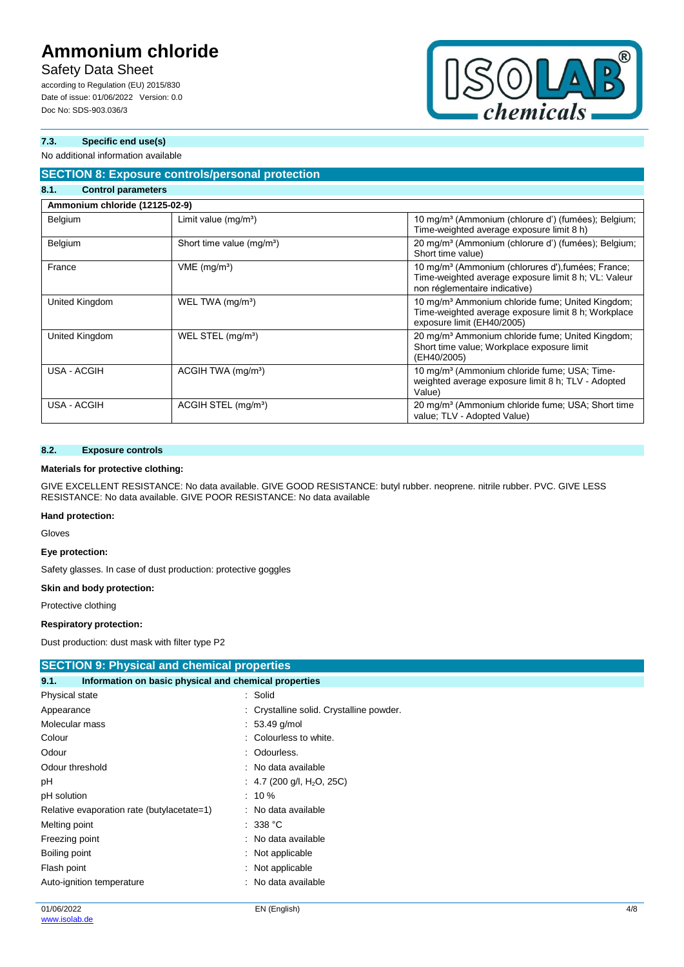## **Safety Data Sheet**

according to Regulation (EU) 2015/830 Date of issue: 01/06/2022 Version: 0.0 Doc No: SDS-903.036/3



### **7.3. Specific end use(s)**

#### No additional information available

### **SECTION 8: Exposure controls/personal protection**

| 8.1.<br><b>Control parameters</b> |                                       |                                                                                                                                                         |  |  |
|-----------------------------------|---------------------------------------|---------------------------------------------------------------------------------------------------------------------------------------------------------|--|--|
| Ammonium chloride (12125-02-9)    |                                       |                                                                                                                                                         |  |  |
| Belgium                           | Limit value $(mg/m3)$                 | 10 mg/m <sup>3</sup> (Ammonium (chlorure d') (fumées); Belgium;<br>Time-weighted average exposure limit 8 h)                                            |  |  |
| Belgium                           | Short time value (mg/m <sup>3</sup> ) | 20 mg/m <sup>3</sup> (Ammonium (chlorure d') (fumées); Belgium;<br>Short time value)                                                                    |  |  |
| France                            | $VME$ (mg/m <sup>3</sup> )            | 10 mg/m <sup>3</sup> (Ammonium (chlorures d'), fumées; France;<br>Time-weighted average exposure limit 8 h; VL: Valeur<br>non réglementaire indicative) |  |  |
| United Kingdom                    | WEL TWA (mg/m <sup>3</sup> )          | 10 mg/m <sup>3</sup> Ammonium chloride fume; United Kingdom;<br>Time-weighted average exposure limit 8 h; Workplace<br>exposure limit (EH40/2005)       |  |  |
| United Kingdom                    | WEL STEL (mg/m <sup>3</sup> )         | 20 mg/m <sup>3</sup> Ammonium chloride fume; United Kingdom;<br>Short time value; Workplace exposure limit<br>(EH40/2005)                               |  |  |
| USA - ACGIH                       | ACGIH TWA (mg/m <sup>3</sup> )        | 10 mg/m <sup>3</sup> (Ammonium chloride fume; USA; Time-<br>weighted average exposure limit 8 h; TLV - Adopted<br>Value)                                |  |  |
| USA - ACGIH                       | ACGIH STEL (mg/m <sup>3</sup> )       | 20 mg/m <sup>3</sup> (Ammonium chloride fume; USA; Short time<br>value; TLV - Adopted Value)                                                            |  |  |

#### **8.2. Exposure controls**

#### **Materials for protective clothing:**

GIVE EXCELLENT RESISTANCE: No data available. GIVE GOOD RESISTANCE: butyl rubber. neoprene. nitrile rubber. PVC. GIVE LESS RESISTANCE: No data available. GIVE POOR RESISTANCE: No data available

#### **Hand protection:**

Gloves

#### **Eye protection:**

Safety glasses. In case of dust production: protective goggles

#### **Skin and body protection:**

Protective clothing

#### **Respiratory protection:**

Dust production: dust mask with filter type P2

| <b>SECTION 9: Physical and chemical properties</b>            |                                          |  |
|---------------------------------------------------------------|------------------------------------------|--|
| Information on basic physical and chemical properties<br>9.1. |                                          |  |
| Physical state                                                | : Solid                                  |  |
| Appearance                                                    | : Crystalline solid. Crystalline powder. |  |
| Molecular mass                                                | $: 53.49$ g/mol                          |  |
| Colour                                                        | : Colourless to white.                   |  |
| Odour                                                         | : Odourless.                             |  |
| Odour threshold                                               | : No data available                      |  |
| рH                                                            | : 4.7 (200 g/l, H <sub>2</sub> O, 25C)   |  |
| pH solution                                                   | $: 10 \%$                                |  |
| Relative evaporation rate (butylacetate=1)                    | : No data available                      |  |
| Melting point                                                 | : 338 °C                                 |  |
| Freezing point                                                | : No data available                      |  |
| Boiling point                                                 | $\therefore$ Not applicable              |  |
| Flash point                                                   | : Not applicable                         |  |
| Auto-ignition temperature                                     | No data available<br>÷                   |  |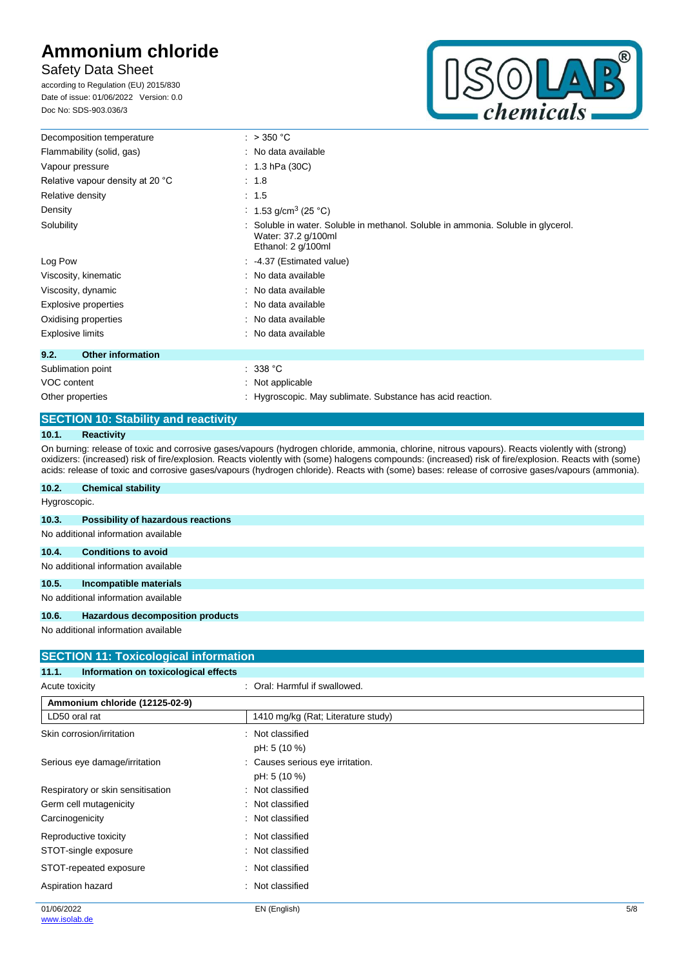## **Safety Data Sheet**

according to Regulation (EU) 2015/830 Date of issue: 01/06/2022 Version: 0.0 Doc No: SDS-903.036/3



| Decomposition temperature        | : $>350 °C$                                                                                                                  |
|----------------------------------|------------------------------------------------------------------------------------------------------------------------------|
| Flammability (solid, gas)        | : No data available                                                                                                          |
| Vapour pressure                  | : $1.3$ hPa (30C)                                                                                                            |
| Relative vapour density at 20 °C | : 1.8                                                                                                                        |
| Relative density                 | : 1.5                                                                                                                        |
| Density                          | : 1.53 g/cm <sup>3</sup> (25 °C)                                                                                             |
| Solubility                       | Soluble in water. Soluble in methanol. Soluble in ammonia. Soluble in glycerol.<br>Water: 37.2 g/100ml<br>Ethanol: 2 g/100ml |
| Log Pow                          | : 4.37 (Estimated value)                                                                                                     |
| Viscosity, kinematic             | : No data available                                                                                                          |
| Viscosity, dynamic               | : No data available                                                                                                          |
| Explosive properties             | : No data available                                                                                                          |
| Oxidising properties             | : No data available                                                                                                          |
| <b>Explosive limits</b>          | : No data available                                                                                                          |
| <b>Other information</b><br>9.2. |                                                                                                                              |
| Sublimation point                | : 338 °C                                                                                                                     |
| VOC content                      | $\therefore$ Not applicable                                                                                                  |
| Other properties                 | : Hygroscopic. May sublimate. Substance has acid reaction.                                                                   |

## **SECTION 10: Stability and reactivity**

#### **10.1. Reactivity**

**10.2. Chemical stability**

On burning: release of toxic and corrosive gases/vapours (hydrogen chloride, ammonia, chlorine, nitrous vapours). Reacts violently with (strong) oxidizers: (increased) risk of fire/explosion. Reacts violently with (some) halogens compounds: (increased) risk of fire/explosion. Reacts with (some) acids: release of toxic and corrosive gases/vapours (hydrogen chloride). Reacts with (some) bases: release of corrosive gases/vapours (ammonia).

| Hygroscopic. |                                           |
|--------------|-------------------------------------------|
| 10.3.        | <b>Possibility of hazardous reactions</b> |
|              | No additional information available       |
| 10.4.        | <b>Conditions to avoid</b>                |
|              | No additional information available       |
| 10.5.        | Incompatible materials                    |
|              | No additional information available       |
| 10.6.        | Hazardous decomposition products          |

No additional information available

| <b>SECTION 11: Toxicological information</b>  |                                    |     |
|-----------------------------------------------|------------------------------------|-----|
| Information on toxicological effects<br>11.1. |                                    |     |
| Acute toxicity                                | : Oral: Harmful if swallowed.      |     |
| Ammonium chloride (12125-02-9)                |                                    |     |
| LD50 oral rat                                 | 1410 mg/kg (Rat; Literature study) |     |
| Skin corrosion/irritation                     | : Not classified                   |     |
|                                               | pH: 5 (10 %)                       |     |
| Serious eye damage/irritation                 | : Causes serious eye irritation.   |     |
|                                               | pH: 5 (10 %)                       |     |
| Respiratory or skin sensitisation             | : Not classified                   |     |
| Germ cell mutagenicity                        | : Not classified                   |     |
| Carcinogenicity                               | : Not classified                   |     |
| Reproductive toxicity                         | : Not classified                   |     |
| STOT-single exposure                          | : Not classified                   |     |
| STOT-repeated exposure                        | : Not classified                   |     |
| Aspiration hazard                             | : Not classified                   |     |
| 01/06/2022                                    | EN (English)                       | 5/8 |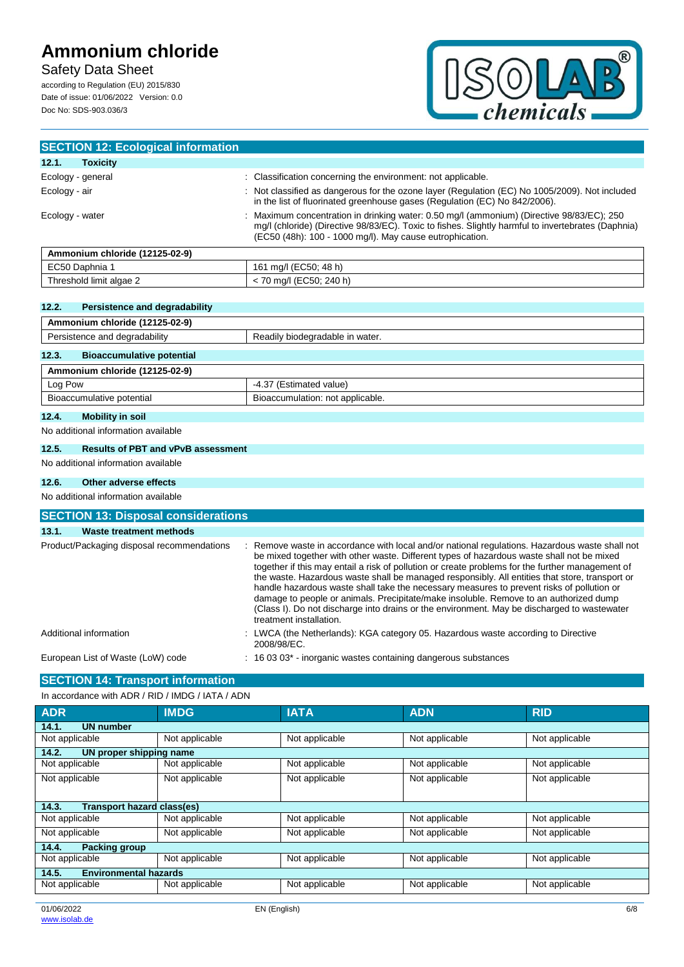## **Safety Data Sheet**

according to Regulation (EU) 2015/830 Date of issue: 01/06/2022 Version: 0.0 Doc No: SDS-903.036/3



| <b>SECTION 12: Ecological information</b> |                                                                                                                                                                                                                                                             |
|-------------------------------------------|-------------------------------------------------------------------------------------------------------------------------------------------------------------------------------------------------------------------------------------------------------------|
| 12.1.<br><b>Toxicity</b>                  |                                                                                                                                                                                                                                                             |
| Ecology - general                         | : Classification concerning the environment: not applicable.                                                                                                                                                                                                |
| Ecology - air                             | : Not classified as dangerous for the ozone layer (Regulation (EC) No 1005/2009). Not included<br>in the list of fluorinated greenhouse gases (Regulation (EC) No 842/2006).                                                                                |
| Ecology - water                           | : Maximum concentration in drinking water: 0.50 mg/l (ammonium) (Directive 98/83/EC); 250<br>mq/l (chloride) (Directive 98/83/EC). Toxic to fishes. Slightly harmful to invertebrates (Daphnia)<br>(EC50 (48h): 100 - 1000 mg/l). May cause eutrophication. |
| Ammonium chloride (12125-02-9)            |                                                                                                                                                                                                                                                             |

| - -                                           |                                                                         |
|-----------------------------------------------|-------------------------------------------------------------------------|
| $F^{\sim}$<br>∪aphnia<br>51<br>LUJU           | 48 h.<br>16<br>ma/l<br>--<br>. JOU: 4                                   |
| <sup>1</sup> limit algae 2<br>hreshold<br>. . | EC50: 240 h)<br>-~<br>. IECE $^{\prime}$<br>ma/<br>- J<br>$\sim$ $\sim$ |

### **12.2. Persistence and degradability**

| Ammonium chloride (12125-02-9)            |                                  |  |
|-------------------------------------------|----------------------------------|--|
| Persistence and degradability             | Readily biodegradable in water.  |  |
| 12.3.<br><b>Bioaccumulative potential</b> |                                  |  |
| Ammonium chloride (12125-02-9)            |                                  |  |
| Log Pow                                   | -4.37 (Estimated value)          |  |
| Bioaccumulative potential                 | Bioaccumulation: not applicable. |  |
| $\sim$                                    |                                  |  |

#### **12.4. Mobility in soil**

No additional information available

#### **12.5. Results of PBT and vPvB assessment**

No additional information available

### **12.6. Other adverse effects**

No additional information available

| <b>SECTION 13: Disposal considerations</b> |                                                                                                                                                                                                                                                                                                                                                                                                                                                                                                                                                                                                                                                                                                                   |
|--------------------------------------------|-------------------------------------------------------------------------------------------------------------------------------------------------------------------------------------------------------------------------------------------------------------------------------------------------------------------------------------------------------------------------------------------------------------------------------------------------------------------------------------------------------------------------------------------------------------------------------------------------------------------------------------------------------------------------------------------------------------------|
| 13.1.<br>Waste treatment methods           |                                                                                                                                                                                                                                                                                                                                                                                                                                                                                                                                                                                                                                                                                                                   |
| Product/Packaging disposal recommendations | : Remove waste in accordance with local and/or national regulations. Hazardous waste shall not<br>be mixed together with other waste. Different types of hazardous waste shall not be mixed<br>together if this may entail a risk of pollution or create problems for the further management of<br>the waste. Hazardous waste shall be managed responsibly. All entities that store, transport or<br>handle hazardous waste shall take the necessary measures to prevent risks of pollution or<br>damage to people or animals. Precipitate/make insoluble. Remove to an authorized dump<br>(Class I). Do not discharge into drains or the environment. May be discharged to wastewater<br>treatment installation. |
| Additional information                     | : LWCA (the Netherlands): KGA category 05. Hazardous waste according to Directive<br>2008/98/EC.                                                                                                                                                                                                                                                                                                                                                                                                                                                                                                                                                                                                                  |
| European List of Waste (LoW) code          | 16 03 03 <sup>*</sup> - inorganic wastes containing dangerous substances<br>÷                                                                                                                                                                                                                                                                                                                                                                                                                                                                                                                                                                                                                                     |

## **SECTION 14: Transport information**

In accordance with ADR / RID / IMDG / IATA / ADN

| <b>ADR</b>                            | <b>IMDG</b>    | <b>IATA</b>    | <b>ADN</b>     | <b>RID</b>     |
|---------------------------------------|----------------|----------------|----------------|----------------|
| 14.1.<br><b>UN number</b>             |                |                |                |                |
| Not applicable                        | Not applicable | Not applicable | Not applicable | Not applicable |
| 14.2.<br>UN proper shipping name      |                |                |                |                |
| Not applicable                        | Not applicable | Not applicable | Not applicable | Not applicable |
| Not applicable                        | Not applicable | Not applicable | Not applicable | Not applicable |
|                                       |                |                |                |                |
| Transport hazard class(es)<br>14.3.   |                |                |                |                |
| Not applicable                        | Not applicable | Not applicable | Not applicable | Not applicable |
| Not applicable                        | Not applicable | Not applicable | Not applicable | Not applicable |
| <b>Packing group</b><br>14.4.         |                |                |                |                |
| Not applicable                        | Not applicable | Not applicable | Not applicable | Not applicable |
| 14.5.<br><b>Environmental hazards</b> |                |                |                |                |
| Not applicable                        | Not applicable | Not applicable | Not applicable | Not applicable |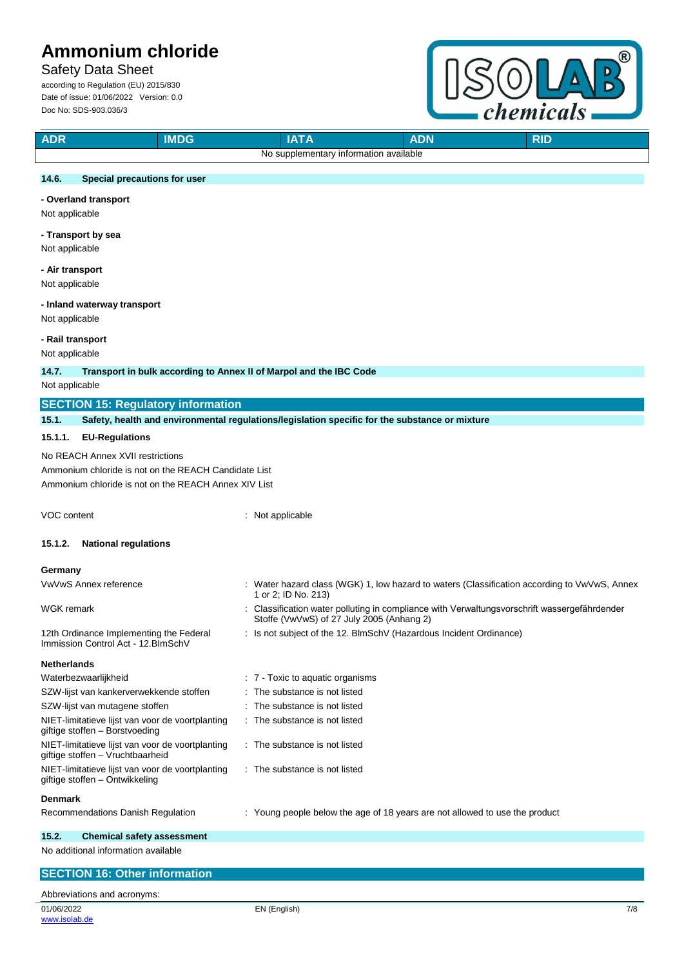## **Safety Data Sheet**

according to Regulation (EU) 2015/830 Date of issue: 01/06/2022 Version: 0.0 Doc No: SDS-903.036/3



| <b>IMDG</b><br><b>ADR</b>                                                            | <b>IATA</b><br><b>ADN</b><br><b>RID</b>                                                                                                 |
|--------------------------------------------------------------------------------------|-----------------------------------------------------------------------------------------------------------------------------------------|
|                                                                                      | No supplementary information available                                                                                                  |
| 14.6.<br>Special precautions for user                                                |                                                                                                                                         |
|                                                                                      |                                                                                                                                         |
| - Overland transport<br>Not applicable                                               |                                                                                                                                         |
| - Transport by sea<br>Not applicable                                                 |                                                                                                                                         |
| - Air transport<br>Not applicable                                                    |                                                                                                                                         |
| - Inland waterway transport<br>Not applicable                                        |                                                                                                                                         |
| - Rail transport                                                                     |                                                                                                                                         |
| Not applicable                                                                       |                                                                                                                                         |
| 14.7.<br>Transport in bulk according to Annex II of Marpol and the IBC Code          |                                                                                                                                         |
| Not applicable                                                                       |                                                                                                                                         |
| <b>SECTION 15: Regulatory information</b>                                            |                                                                                                                                         |
| 15.1.                                                                                | Safety, health and environmental regulations/legislation specific for the substance or mixture                                          |
| <b>EU-Regulations</b><br>15.1.1.                                                     |                                                                                                                                         |
| No REACH Annex XVII restrictions                                                     |                                                                                                                                         |
| Ammonium chloride is not on the REACH Candidate List                                 |                                                                                                                                         |
| Ammonium chloride is not on the REACH Annex XIV List                                 |                                                                                                                                         |
|                                                                                      |                                                                                                                                         |
| VOC content                                                                          | : Not applicable                                                                                                                        |
| 15.1.2.<br><b>National regulations</b>                                               |                                                                                                                                         |
| Germany                                                                              |                                                                                                                                         |
| VwVwS Annex reference                                                                | : Water hazard class (WGK) 1, low hazard to waters (Classification according to VwVwS, Annex<br>1 or 2; ID No. 213)                     |
| WGK remark                                                                           | Classification water polluting in compliance with Verwaltungsvorschrift wassergefährdender<br>Stoffe (VwVwS) of 27 July 2005 (Anhang 2) |
| 12th Ordinance Implementing the Federal<br>Immission Control Act - 12.BImSchV        | : Is not subject of the 12. BlmSchV (Hazardous Incident Ordinance)                                                                      |
| <b>Netherlands</b>                                                                   |                                                                                                                                         |
| Waterbezwaarlijkheid                                                                 | : 7 - Toxic to aquatic organisms                                                                                                        |
| SZW-lijst van kankerverwekkende stoffen                                              | The substance is not listed                                                                                                             |
| SZW-lijst van mutagene stoffen                                                       | The substance is not listed                                                                                                             |
| NIET-limitatieve lijst van voor de voortplanting<br>giftige stoffen - Borstvoeding   | The substance is not listed                                                                                                             |
| NIET-limitatieve lijst van voor de voortplanting<br>giftige stoffen - Vruchtbaarheid | : The substance is not listed                                                                                                           |
| NIET-limitatieve lijst van voor de voortplanting<br>giftige stoffen - Ontwikkeling   | : The substance is not listed                                                                                                           |
| <b>Denmark</b>                                                                       |                                                                                                                                         |
| Recommendations Danish Regulation                                                    | : Young people below the age of 18 years are not allowed to use the product                                                             |
| 15.2.<br><b>Chemical safety assessment</b>                                           |                                                                                                                                         |
| No additional information available                                                  |                                                                                                                                         |
| <b>SECTION 16: Other information</b>                                                 |                                                                                                                                         |